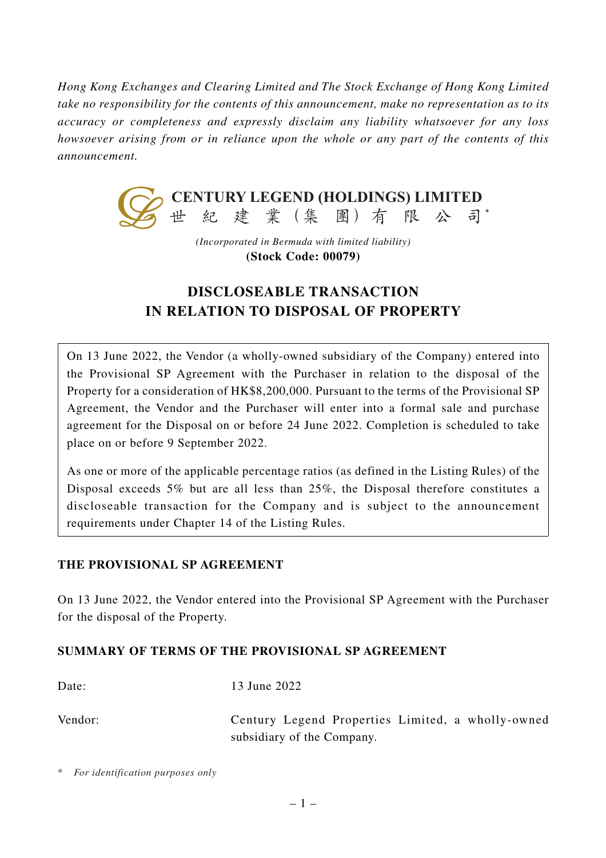*Hong Kong Exchanges and Clearing Limited and The Stock Exchange of Hong Kong Limited take no responsibility for the contents of this announcement, make no representation as to its accuracy or completeness and expressly disclaim any liability whatsoever for any loss howsoever arising from or in reliance upon the whole or any part of the contents of this announcement.*



*(Incorporated in Bermuda with limited liability)* **(Stock Code: 00079)**

# **DISCLOSEABLE TRANSACTION IN RELATION TO DISPOSAL OF PROPERTY**

On 13 June 2022, the Vendor (a wholly-owned subsidiary of the Company) entered into the Provisional SP Agreement with the Purchaser in relation to the disposal of the Property for a consideration of HK\$8,200,000. Pursuant to the terms of the Provisional SP Agreement, the Vendor and the Purchaser will enter into a formal sale and purchase agreement for the Disposal on or before 24 June 2022. Completion is scheduled to take place on or before 9 September 2022.

As one or more of the applicable percentage ratios (as defined in the Listing Rules) of the Disposal exceeds 5% but are all less than 25%, the Disposal therefore constitutes a discloseable transaction for the Company and is subject to the announcement requirements under Chapter 14 of the Listing Rules.

# **THE PROVISIONAL SP AGREEMENT**

On 13 June 2022, the Vendor entered into the Provisional SP Agreement with the Purchaser for the disposal of the Property.

#### **SUMMARY OF TERMS OF THE PROVISIONAL SP AGREEMENT**

Date: 13 June 2022

Vendor: Century Legend Properties Limited, a wholly-owned subsidiary of the Company.

\* *For identification purposes only*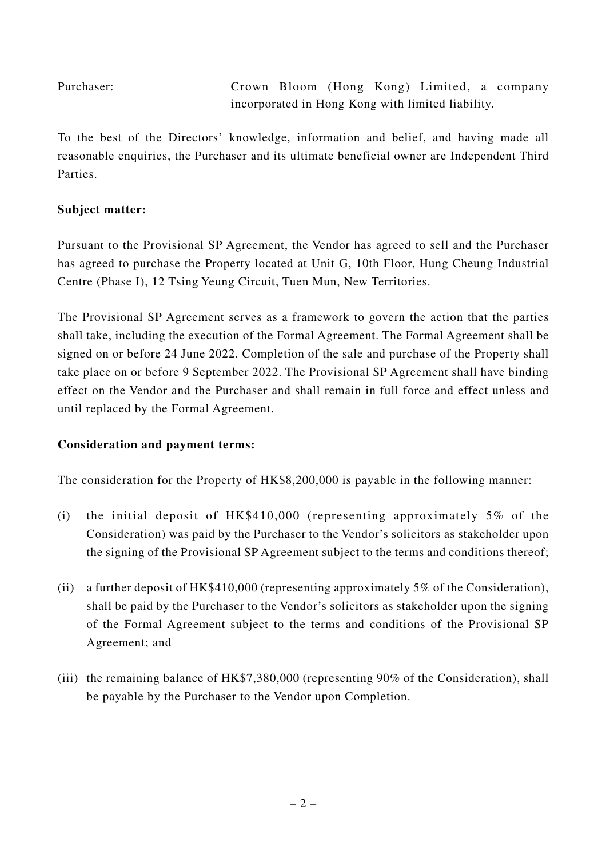Purchaser: Crown Bloom (Hong Kong) Limited, a company incorporated in Hong Kong with limited liability.

To the best of the Directors' knowledge, information and belief, and having made all reasonable enquiries, the Purchaser and its ultimate beneficial owner are Independent Third Parties.

#### **Subject matter:**

Pursuant to the Provisional SP Agreement, the Vendor has agreed to sell and the Purchaser has agreed to purchase the Property located at Unit G, 10th Floor, Hung Cheung Industrial Centre (Phase I), 12 Tsing Yeung Circuit, Tuen Mun, New Territories.

The Provisional SP Agreement serves as a framework to govern the action that the parties shall take, including the execution of the Formal Agreement. The Formal Agreement shall be signed on or before 24 June 2022. Completion of the sale and purchase of the Property shall take place on or before 9 September 2022. The Provisional SP Agreement shall have binding effect on the Vendor and the Purchaser and shall remain in full force and effect unless and until replaced by the Formal Agreement.

# **Consideration and payment terms:**

The consideration for the Property of HK\$8,200,000 is payable in the following manner:

- (i) the initial deposit of HK\$410,000 (representing approximately 5% of the Consideration) was paid by the Purchaser to the Vendor's solicitors as stakeholder upon the signing of the Provisional SP Agreement subject to the terms and conditions thereof;
- (ii) a further deposit of HK\$410,000 (representing approximately 5% of the Consideration), shall be paid by the Purchaser to the Vendor's solicitors as stakeholder upon the signing of the Formal Agreement subject to the terms and conditions of the Provisional SP Agreement; and
- (iii) the remaining balance of HK\$7,380,000 (representing 90% of the Consideration), shall be payable by the Purchaser to the Vendor upon Completion.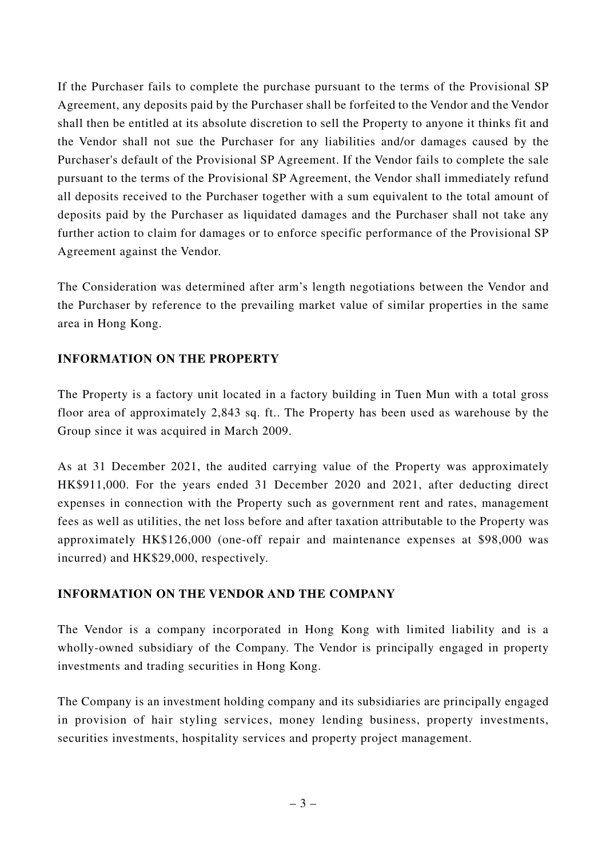If the Purchaser fails to complete the purchase pursuant to the terms of the Provisional SP Agreement, any deposits paid by the Purchaser shall be forfeited to the Vendor and the Vendor shall then be entitled at its absolute discretion to sell the Property to anyone it thinks fit and the Vendor shall not sue the Purchaser for any liabilities and/or damages caused by the Purchaser's default of the Provisional SP Agreement. If the Vendor fails to complete the sale pursuant to the terms of the Provisional SP Agreement, the Vendor shall immediately refund all deposits received to the Purchaser together with a sum equivalent to the total amount of deposits paid by the Purchaser as liquidated damages and the Purchaser shall not take any further action to claim for damages or to enforce specific performance of the Provisional SP Agreement against the Vendor.

The Consideration was determined after arm's length negotiations between the Vendor and the Purchaser by reference to the prevailing market value of similar properties in the same area in Hong Kong.

# **INFORMATION ON THE PROPERTY**

The Property is a factory unit located in a factory building in Tuen Mun with a total gross floor area of approximately 2,843 sq. ft.. The Property has been used as warehouse by the Group since it was acquired in March 2009.

As at 31 December 2021, the audited carrying value of the Property was approximately HK\$911,000. For the years ended 31 December 2020 and 2021, after deducting direct expenses in connection with the Property such as government rent and rates, management fees as well as utilities, the net loss before and after taxation attributable to the Property was approximately HK\$126,000 (one-off repair and maintenance expenses at \$98,000 was incurred) and HK\$29,000, respectively.

#### **INFORMATION ON THE VENDOR AND THE COMPANY**

The Vendor is a company incorporated in Hong Kong with limited liability and is a wholly-owned subsidiary of the Company. The Vendor is principally engaged in property investments and trading securities in Hong Kong.

The Company is an investment holding company and its subsidiaries are principally engaged in provision of hair styling services, money lending business, property investments, securities investments, hospitality services and property project management.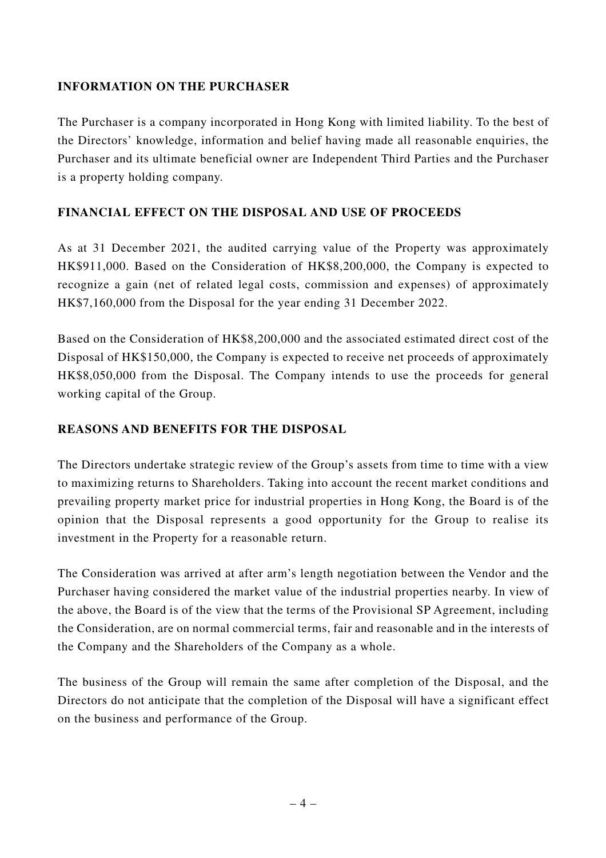## **INFORMATION ON THE PURCHASER**

The Purchaser is a company incorporated in Hong Kong with limited liability. To the best of the Directors' knowledge, information and belief having made all reasonable enquiries, the Purchaser and its ultimate beneficial owner are Independent Third Parties and the Purchaser is a property holding company.

#### **FINANCIAL EFFECT ON THE DISPOSAL AND USE OF PROCEEDS**

As at 31 December 2021, the audited carrying value of the Property was approximately HK\$911,000. Based on the Consideration of HK\$8,200,000, the Company is expected to recognize a gain (net of related legal costs, commission and expenses) of approximately HK\$7,160,000 from the Disposal for the year ending 31 December 2022.

Based on the Consideration of HK\$8,200,000 and the associated estimated direct cost of the Disposal of HK\$150,000, the Company is expected to receive net proceeds of approximately HK\$8,050,000 from the Disposal. The Company intends to use the proceeds for general working capital of the Group.

#### **REASONS AND BENEFITS FOR THE DISPOSAL**

The Directors undertake strategic review of the Group's assets from time to time with a view to maximizing returns to Shareholders. Taking into account the recent market conditions and prevailing property market price for industrial properties in Hong Kong, the Board is of the opinion that the Disposal represents a good opportunity for the Group to realise its investment in the Property for a reasonable return.

The Consideration was arrived at after arm's length negotiation between the Vendor and the Purchaser having considered the market value of the industrial properties nearby. In view of the above, the Board is of the view that the terms of the Provisional SP Agreement, including the Consideration, are on normal commercial terms, fair and reasonable and in the interests of the Company and the Shareholders of the Company as a whole.

The business of the Group will remain the same after completion of the Disposal, and the Directors do not anticipate that the completion of the Disposal will have a significant effect on the business and performance of the Group.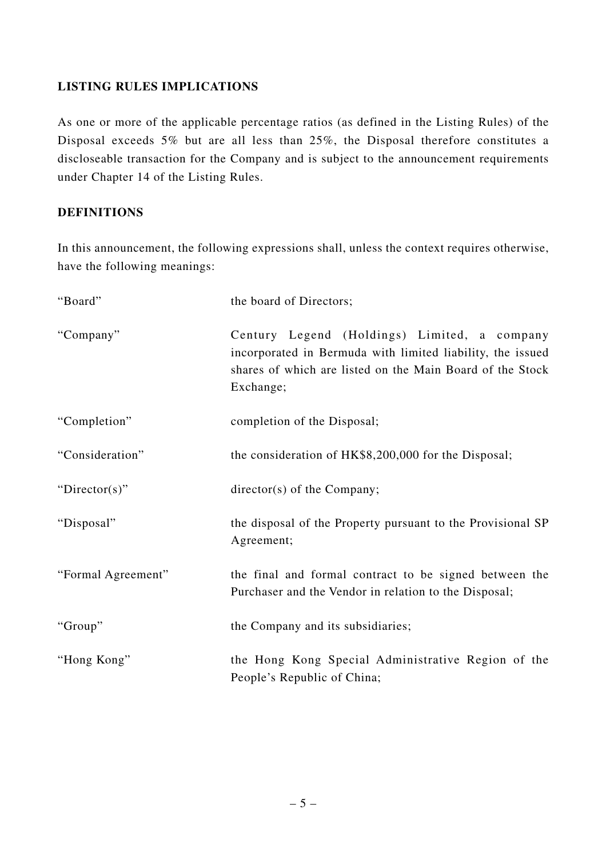## **LISTING RULES IMPLICATIONS**

As one or more of the applicable percentage ratios (as defined in the Listing Rules) of the Disposal exceeds 5% but are all less than 25%, the Disposal therefore constitutes a discloseable transaction for the Company and is subject to the announcement requirements under Chapter 14 of the Listing Rules.

#### **DEFINITIONS**

In this announcement, the following expressions shall, unless the context requires otherwise, have the following meanings:

| "Board"            | the board of Directors;                                                                                                                                                              |
|--------------------|--------------------------------------------------------------------------------------------------------------------------------------------------------------------------------------|
| "Company"          | Century Legend (Holdings) Limited, a company<br>incorporated in Bermuda with limited liability, the issued<br>shares of which are listed on the Main Board of the Stock<br>Exchange; |
| "Completion"       | completion of the Disposal;                                                                                                                                                          |
| "Consideration"    | the consideration of HK\$8,200,000 for the Disposal;                                                                                                                                 |
| "Director(s)"      | $\text{directory}(s)$ of the Company;                                                                                                                                                |
| "Disposal"         | the disposal of the Property pursuant to the Provisional SP<br>Agreement;                                                                                                            |
| "Formal Agreement" | the final and formal contract to be signed between the<br>Purchaser and the Vendor in relation to the Disposal;                                                                      |
| "Group"            | the Company and its subsidiaries;                                                                                                                                                    |
| "Hong Kong"        | the Hong Kong Special Administrative Region of the<br>People's Republic of China;                                                                                                    |